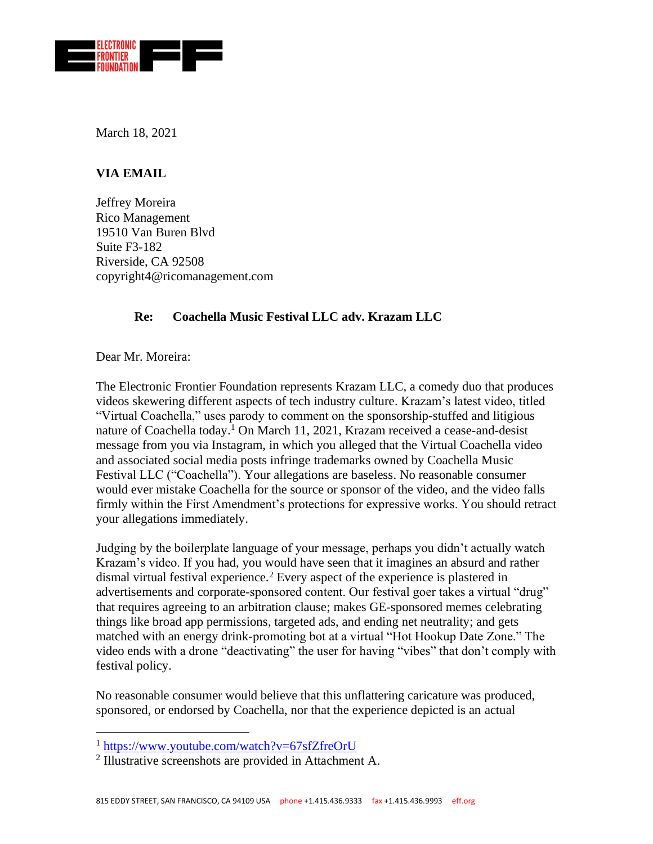

March 18, 2021

## **VIA EMAIL**

Jeffrey Moreira Rico Management 19510 Van Buren Blvd Suite F3-182 Riverside, CA 92508 copyright4@ricomanagement.com

## **Re: Coachella Music Festival LLC adv. Krazam LLC**

Dear Mr. Moreira:

The Electronic Frontier Foundation represents Krazam LLC, a comedy duo that produces videos skewering different aspects of tech industry culture. Krazam's latest video, titled "Virtual Coachella," uses parody to comment on the sponsorship-stuffed and litigious nature of Coachella today.<sup>1</sup> On March 11, 2021, Krazam received a cease-and-desist message from you via Instagram, in which you alleged that the Virtual Coachella video and associated social media posts infringe trademarks owned by Coachella Music Festival LLC ("Coachella"). Your allegations are baseless. No reasonable consumer would ever mistake Coachella for the source or sponsor of the video, and the video falls firmly within the First Amendment's protections for expressive works. You should retract your allegations immediately.

Judging by the boilerplate language of your message, perhaps you didn't actually watch Krazam's video. If you had, you would have seen that it imagines an absurd and rather dismal virtual festival experience.<sup>2</sup> Every aspect of the experience is plastered in advertisements and corporate-sponsored content. Our festival goer takes a virtual "drug" that requires agreeing to an arbitration clause; makes GE-sponsored memes celebrating things like broad app permissions, targeted ads, and ending net neutrality; and gets matched with an energy drink-promoting bot at a virtual "Hot Hookup Date Zone." The video ends with a drone "deactivating" the user for having "vibes" that don't comply with festival policy.

No reasonable consumer would believe that this unflattering caricature was produced, sponsored, or endorsed by Coachella, nor that the experience depicted is an actual

<sup>1</sup> <https://www.youtube.com/watch?v=67sfZfreOrU>

<sup>2</sup> Illustrative screenshots are provided in Attachment A.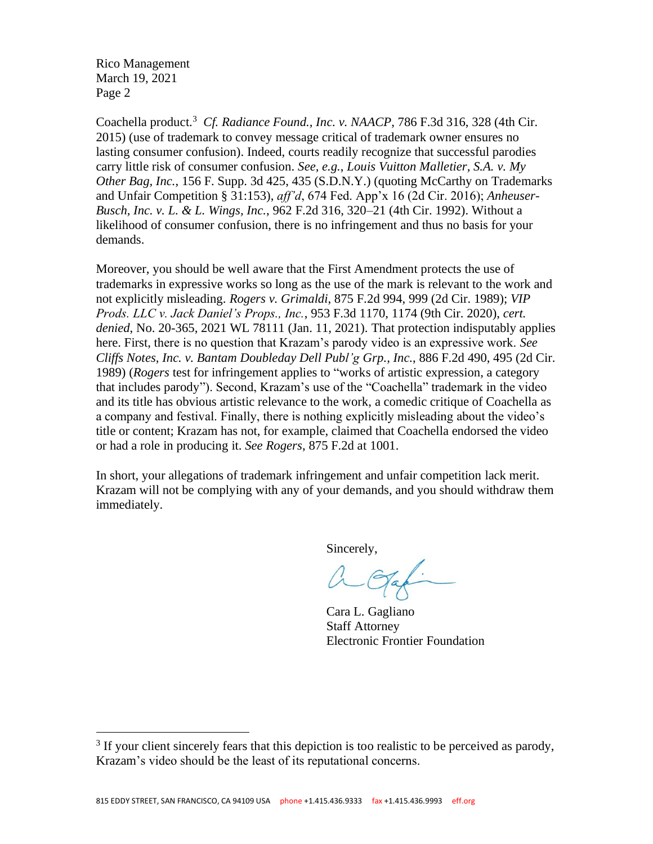Coachella product.<sup>3</sup> *Cf. Radiance Found., Inc. v. NAACP*, 786 F.3d 316, 328 (4th Cir. 2015) (use of trademark to convey message critical of trademark owner ensures no lasting consumer confusion). Indeed, courts readily recognize that successful parodies carry little risk of consumer confusion. *See, e.g.*, *Louis Vuitton Malletier, S.A. v. My Other Bag, Inc.*, 156 F. Supp. 3d 425, 435 (S.D.N.Y.) (quoting McCarthy on Trademarks and Unfair Competition § 31:153), *aff'd*, 674 Fed. App'x 16 (2d Cir. 2016); *Anheuser-Busch, Inc. v. L. & L. Wings, Inc.*, 962 F.2d 316, 320–21 (4th Cir. 1992). Without a likelihood of consumer confusion, there is no infringement and thus no basis for your demands.

Moreover, you should be well aware that the First Amendment protects the use of trademarks in expressive works so long as the use of the mark is relevant to the work and not explicitly misleading. *Rogers v. Grimaldi*, 875 F.2d 994, 999 (2d Cir. 1989); *VIP Prods. LLC v. Jack Daniel's Props., Inc.*, 953 F.3d 1170, 1174 (9th Cir. 2020), *cert. denied*, No. 20-365, 2021 WL 78111 (Jan. 11, 2021). That protection indisputably applies here. First, there is no question that Krazam's parody video is an expressive work. *See Cliffs Notes, Inc. v. Bantam Doubleday Dell Publ'g Grp., Inc.*, 886 F.2d 490, 495 (2d Cir. 1989) (*Rogers* test for infringement applies to "works of artistic expression, a category that includes parody"). Second, Krazam's use of the "Coachella" trademark in the video and its title has obvious artistic relevance to the work, a comedic critique of Coachella as a company and festival. Finally, there is nothing explicitly misleading about the video's title or content; Krazam has not, for example, claimed that Coachella endorsed the video or had a role in producing it. *See Rogers*, 875 F.2d at 1001.

In short, your allegations of trademark infringement and unfair competition lack merit. Krazam will not be complying with any of your demands, and you should withdraw them immediately.

Sincerely,

a Ofak

Cara L. Gagliano Staff Attorney Electronic Frontier Foundation

<sup>&</sup>lt;sup>3</sup> If your client sincerely fears that this depiction is too realistic to be perceived as parody, Krazam's video should be the least of its reputational concerns.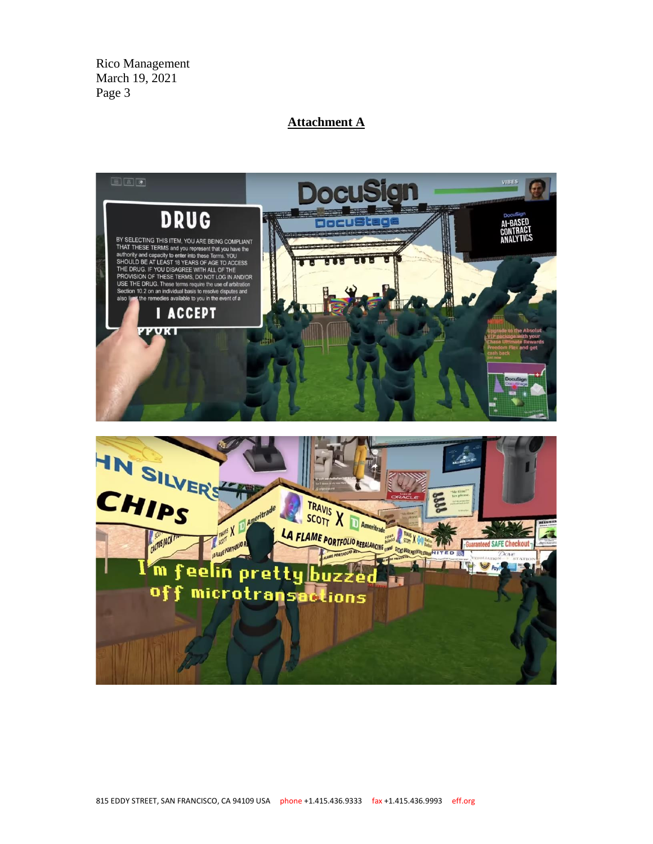## **Attachment A**

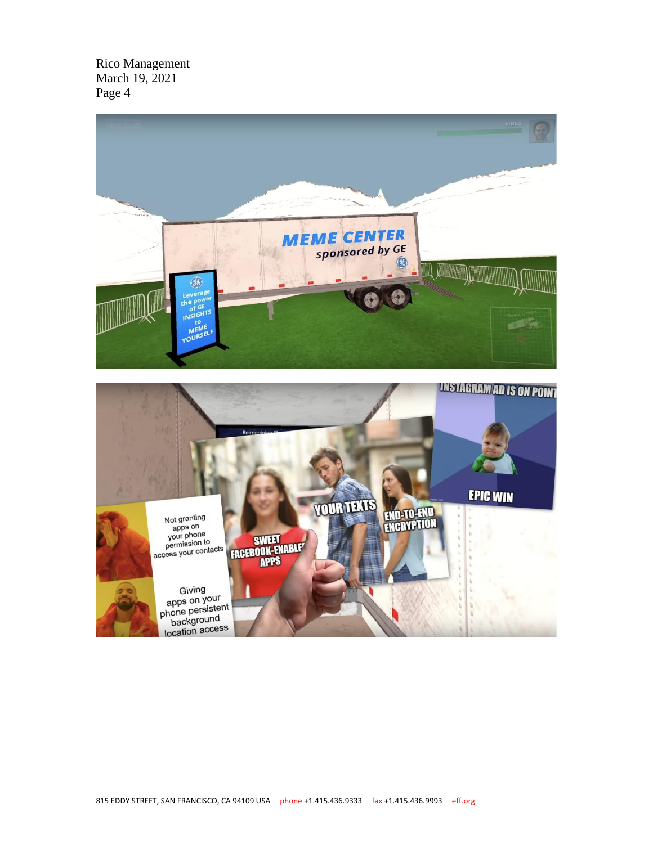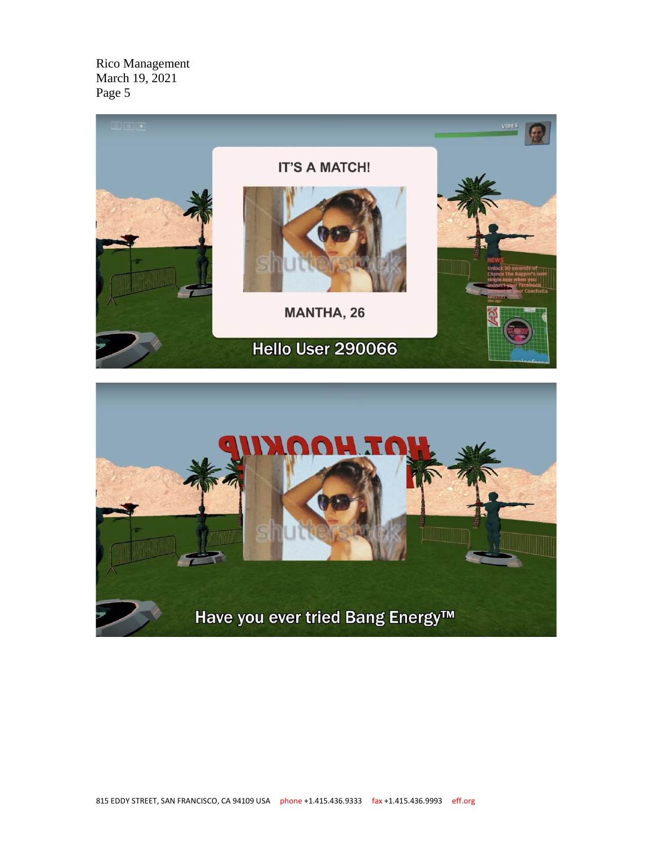